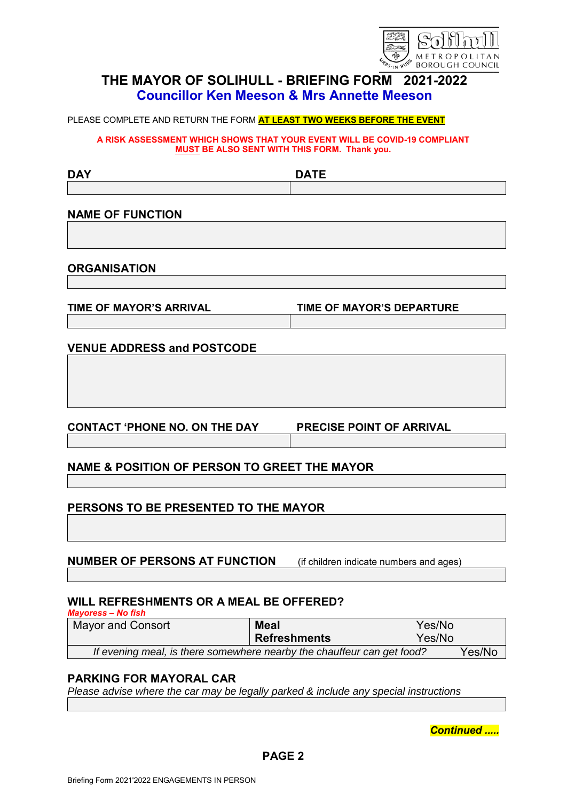

# **THE MAYOR OF SOLIHULL - BRIEFING FORM 2021-2022 Councillor Ken Meeson & Mrs Annette Meeson**

PLEASE COMPLETE AND RETURN THE FORM **AT LEAST TWO WEEKS BEFORE THE EVENT**

**A RISK ASSESSMENT WHICH SHOWS THAT YOUR EVENT WILL BE COVID-19 COMPLIANT MUST BE ALSO SENT WITH THIS FORM. Thank you.**

| <b>DAY</b>                                              | <b>DATE</b>                             |  |
|---------------------------------------------------------|-----------------------------------------|--|
|                                                         |                                         |  |
|                                                         |                                         |  |
| <b>NAME OF FUNCTION</b>                                 |                                         |  |
|                                                         |                                         |  |
|                                                         |                                         |  |
| <b>ORGANISATION</b>                                     |                                         |  |
|                                                         |                                         |  |
| <b>TIME OF MAYOR'S ARRIVAL</b>                          | <b>TIME OF MAYOR'S DEPARTURE</b>        |  |
|                                                         |                                         |  |
|                                                         |                                         |  |
| <b>VENUE ADDRESS and POSTCODE</b>                       |                                         |  |
|                                                         |                                         |  |
|                                                         |                                         |  |
|                                                         |                                         |  |
|                                                         |                                         |  |
| <b>CONTACT 'PHONE NO. ON THE DAY</b>                    | <b>PRECISE POINT OF ARRIVAL</b>         |  |
|                                                         |                                         |  |
| <b>NAME &amp; POSITION OF PERSON TO GREET THE MAYOR</b> |                                         |  |
|                                                         |                                         |  |
|                                                         |                                         |  |
| PERSONS TO BE PRESENTED TO THE MAYOR                    |                                         |  |
|                                                         |                                         |  |
|                                                         |                                         |  |
| <b>NUMBER OF PERSONS AT FUNCTION</b>                    | (if children indicate numbers and ages) |  |
|                                                         |                                         |  |
|                                                         |                                         |  |
| WILL REFRESHMENTS OR A MEAL BE OFFERED?                 |                                         |  |
| <b>Mayoress – No fish</b>                               |                                         |  |

Mayor and Consort **Meal** Yes/No **Refreshments** Yes/No *If evening meal, is there somewhere nearby the chauffeur can get food?* Yes/No

## **PARKING FOR MAYORAL CAR**

*Please advise where the car may be legally parked & include any special instructions*

*Continued .....*